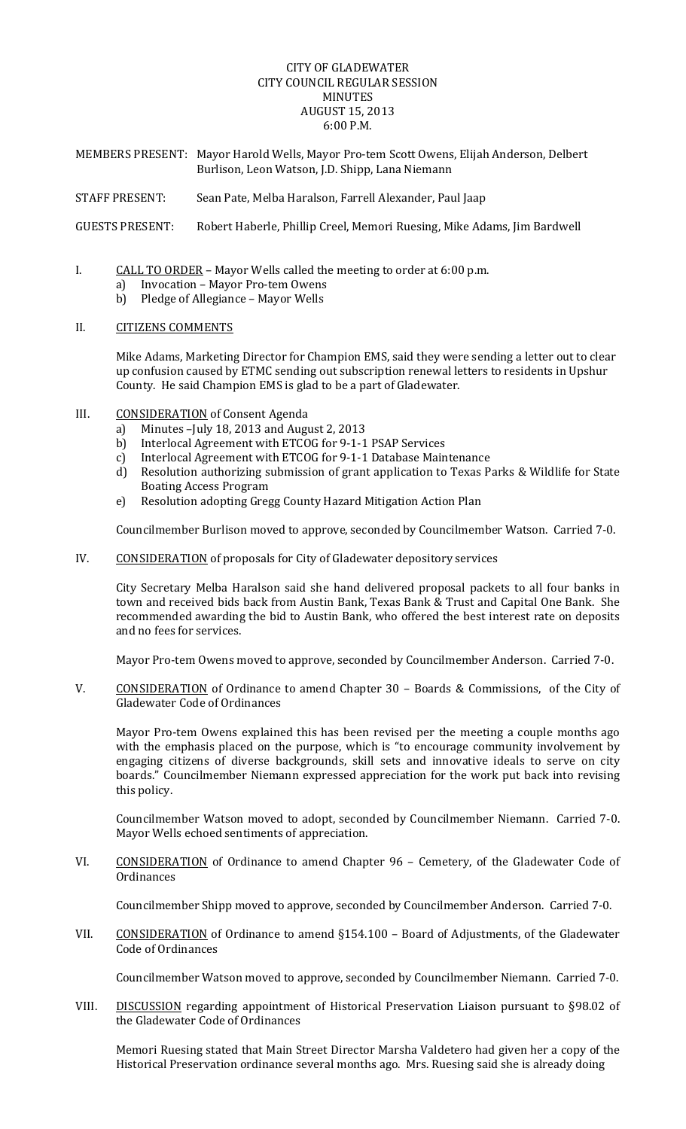## CITY OF GLADEWATER CITY COUNCIL REGULAR SESSION MINUTES AUGUST 15, 2013 6:00 P.M.

MEMBERS PRESENT: Mayor Harold Wells, Mayor Pro-tem Scott Owens, Elijah Anderson, Delbert Burlison, Leon Watson, J.D. Shipp, Lana Niemann

STAFF PRESENT: Sean Pate, Melba Haralson, Farrell Alexander, Paul Jaap

GUESTS PRESENT: Robert Haberle, Phillip Creel, Memori Ruesing, Mike Adams, Jim Bardwell

- I. CALL TO ORDER Mayor Wells called the meeting to order at 6:00 p.m.
	- a) Invocation Mayor Pro-tem Owens
	- b) Pledge of Allegiance Mayor Wells

## II. CITIZENS COMMENTS

Mike Adams, Marketing Director for Champion EMS, said they were sending a letter out to clear up confusion caused by ETMC sending out subscription renewal letters to residents in Upshur County. He said Champion EMS is glad to be a part of Gladewater.

- III. CONSIDERATION of Consent Agenda
	- a) Minutes  $-$ July 18, 2013 and August 2, 2013
	- b) Interlocal Agreement with ETCOG for 9-1-1 PSAP Services
	- c) Interlocal Agreement with ETCOG for 9-1-1 Database Maintenance
	- d) Resolution authorizing submission of grant application to Texas Parks & Wildlife for State Boating Access Program
	- e) Resolution adopting Gregg County Hazard Mitigation Action Plan

Councilmember Burlison moved to approve, seconded by Councilmember Watson. Carried 7-0.

IV. CONSIDERATION of proposals for City of Gladewater depository services

City Secretary Melba Haralson said she hand delivered proposal packets to all four banks in town and received bids back from Austin Bank, Texas Bank & Trust and Capital One Bank. She recommended awarding the bid to Austin Bank, who offered the best interest rate on deposits and no fees for services.

Mayor Pro-tem Owens moved to approve, seconded by Councilmember Anderson. Carried 7-0.

V. CONSIDERATION of Ordinance to amend Chapter 30 - Boards & Commissions, of the City of Gladewater Code of Ordinances

Mayor Pro-tem Owens explained this has been revised per the meeting a couple months ago with the emphasis placed on the purpose, which is "to encourage community involvement by engaging citizens of diverse backgrounds, skill sets and innovative ideals to serve on city boards." Councilmember Niemann expressed appreciation for the work put back into revising this policy.

Councilmember Watson moved to adopt, seconded by Councilmember Niemann. Carried 7-0. Mayor Wells echoed sentiments of appreciation.

VI. CONSIDERATION of Ordinance to amend Chapter 96 - Cemetery, of the Gladewater Code of **Ordinances** 

Councilmember Shipp moved to approve, seconded by Councilmember Anderson. Carried 7-0.

VII. CONSIDERATION of Ordinance to amend §154.100 - Board of Adjustments, of the Gladewater Code of Ordinances

Councilmember Watson moved to approve, seconded by Councilmember Niemann. Carried 7-0.

VIII. DISCUSSION regarding appointment of Historical Preservation Liaison pursuant to §98.02 of the Gladewater Code of Ordinances

Memori Ruesing stated that Main Street Director Marsha Valdetero had given her a copy of the Historical Preservation ordinance several months ago. Mrs. Ruesing said she is already doing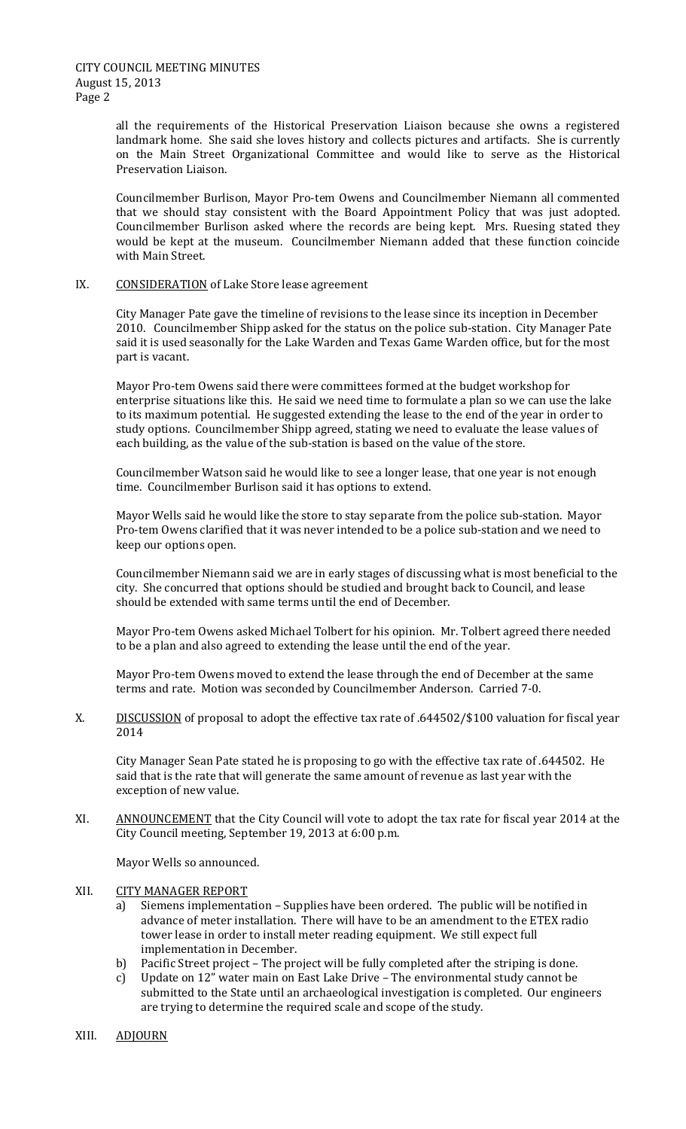all the requirements of the Historical Preservation Liaison because she owns a registered landmark home. She said she loves history and collects pictures and artifacts. She is currently on the Main Street Organizational Committee and would like to serve as the Historical Preservation Liaison.

Councilmember Burlison, Mayor Pro-tem Owens and Councilmember Niemann all commented that we should stay consistent with the Board Appointment Policy that was just adopted. Councilmember Burlison asked where the records are being kept. Mrs. Ruesing stated they would be kept at the museum. Councilmember Niemann added that these function coincide with Main Street.

## IX. CONSIDERATION of Lake Store lease agreement

City Manager Pate gave the timeline of revisions to the lease since its inception in December 2010. Councilmember Shipp asked for the status on the police sub-station. City Manager Pate said it is used seasonally for the Lake Warden and Texas Game Warden office, but for the most part is vacant.

Mayor Pro-tem Owens said there were committees formed at the budget workshop for enterprise situations like this. He said we need time to formulate a plan so we can use the lake to its maximum potential. He suggested extending the lease to the end of the year in order to study options. Councilmember Shipp agreed, stating we need to evaluate the lease values of each building, as the value of the sub-station is based on the value of the store.

Councilmember Watson said he would like to see a longer lease, that one year is not enough time. Councilmember Burlison said it has options to extend.

Mayor Wells said he would like the store to stay separate from the police sub-station. Mayor Pro-tem Owens clarified that it was never intended to be a police sub-station and we need to keep our options open.

Councilmember Niemann said we are in early stages of discussing what is most beneficial to the city. She concurred that options should be studied and brought back to Council, and lease should be extended with same terms until the end of December.

Mayor Pro-tem Owens asked Michael Tolbert for his opinion. Mr. Tolbert agreed there needed to be a plan and also agreed to extending the lease until the end of the year.

Mayor Pro-tem Owens moved to extend the lease through the end of December at the same terms and rate. Motion was seconded by Councilmember Anderson. Carried 7-0.

X. DISCUSSION of proposal to adopt the effective tax rate of .644502/\$100 valuation for fiscal year 2014 

City Manager Sean Pate stated he is proposing to go with the effective tax rate of .644502. He said that is the rate that will generate the same amount of revenue as last year with the exception of new value.

XI. ANNOUNCEMENT that the City Council will vote to adopt the tax rate for fiscal year 2014 at the City Council meeting, September 19, 2013 at 6:00 p.m.

Mayor Wells so announced.

## XII. CITY MANAGER REPORT

- Siemens implementation Supplies have been ordered. The public will be notified in advance of meter installation. There will have to be an amendment to the ETEX radio tower lease in order to install meter reading equipment. We still expect full implementation in December.
- b) Pacific Street project The project will be fully completed after the striping is done.
- c) Update on 12" water main on East Lake Drive The environmental study cannot be submitted to the State until an archaeological investigation is completed. Our engineers are trying to determine the required scale and scope of the study.
- XIII. ADJOURN